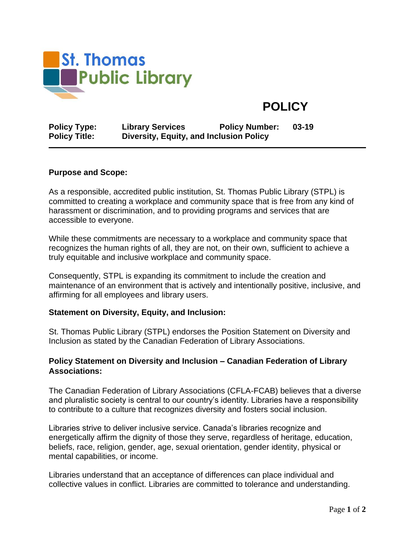

# **POLICY**

| <b>Policy Type:</b>  | <b>Library Services</b>                 | <b>Policy Number:</b> | 03-19 |
|----------------------|-----------------------------------------|-----------------------|-------|
| <b>Policy Title:</b> | Diversity, Equity, and Inclusion Policy |                       |       |

#### **Purpose and Scope:**

As a responsible, accredited public institution, St. Thomas Public Library (STPL) is committed to creating a workplace and community space that is free from any kind of harassment or discrimination, and to providing programs and services that are accessible to everyone.

While these commitments are necessary to a workplace and community space that recognizes the human rights of all, they are not, on their own, sufficient to achieve a truly equitable and inclusive workplace and community space.

Consequently, STPL is expanding its commitment to include the creation and maintenance of an environment that is actively and intentionally positive, inclusive, and affirming for all employees and library users.

#### **Statement on Diversity, Equity, and Inclusion:**

St. Thomas Public Library (STPL) endorses the Position Statement on Diversity and Inclusion as stated by the Canadian Federation of Library Associations.

### **Policy Statement on Diversity and Inclusion – Canadian Federation of Library Associations:**

The Canadian Federation of Library Associations (CFLA-FCAB) believes that a diverse and pluralistic society is central to our country's identity. Libraries have a responsibility to contribute to a culture that recognizes diversity and fosters social inclusion.

Libraries strive to deliver inclusive service. Canada's libraries recognize and energetically affirm the dignity of those they serve, regardless of heritage, education, beliefs, race, religion, gender, age, sexual orientation, gender identity, physical or mental capabilities, or income.

Libraries understand that an acceptance of differences can place individual and collective values in conflict. Libraries are committed to tolerance and understanding.